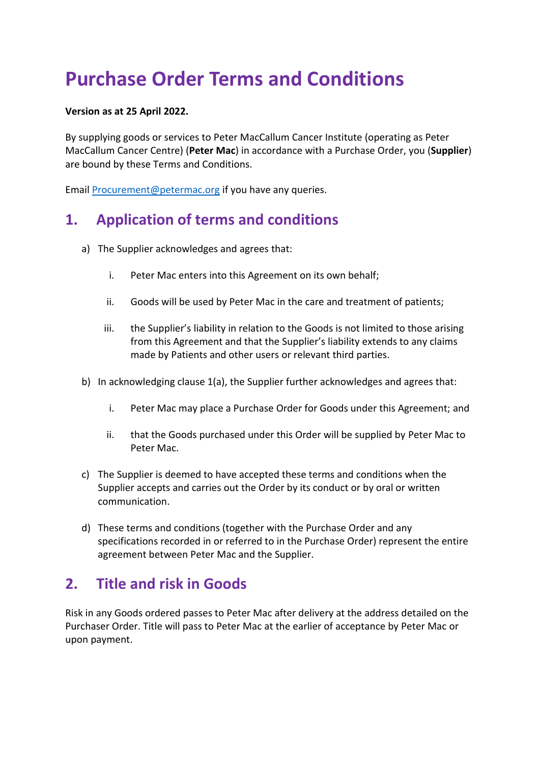# **Purchase Order Terms and Conditions**

#### **Version as at 25 April 2022.**

By supplying goods or services to Peter MacCallum Cancer Institute (operating as Peter MacCallum Cancer Centre) (**Peter Mac**) in accordance with a Purchase Order, you (**Supplier**) are bound by these Terms and Conditions.

Email [Procurement@petermac.org](mailto:Procurement@petermac.org) if you have any queries.

## **1. Application of terms and conditions**

- a) The Supplier acknowledges and agrees that:
	- i. Peter Mac enters into this Agreement on its own behalf;
	- ii. Goods will be used by Peter Mac in the care and treatment of patients;
	- iii. the Supplier's liability in relation to the Goods is not limited to those arising from this Agreement and that the Supplier's liability extends to any claims made by Patients and other users or relevant third parties.
- b) In acknowledging clause 1(a), the Supplier further acknowledges and agrees that:
	- i. Peter Mac may place a Purchase Order for Goods under this Agreement; and
	- ii. that the Goods purchased under this Order will be supplied by Peter Mac to Peter Mac.
- c) The Supplier is deemed to have accepted these terms and conditions when the Supplier accepts and carries out the Order by its conduct or by oral or written communication.
- d) These terms and conditions (together with the Purchase Order and any specifications recorded in or referred to in the Purchase Order) represent the entire agreement between Peter Mac and the Supplier.

### **2. Title and risk in Goods**

Risk in any Goods ordered passes to Peter Mac after delivery at the address detailed on the Purchaser Order. Title will pass to Peter Mac at the earlier of acceptance by Peter Mac or upon payment.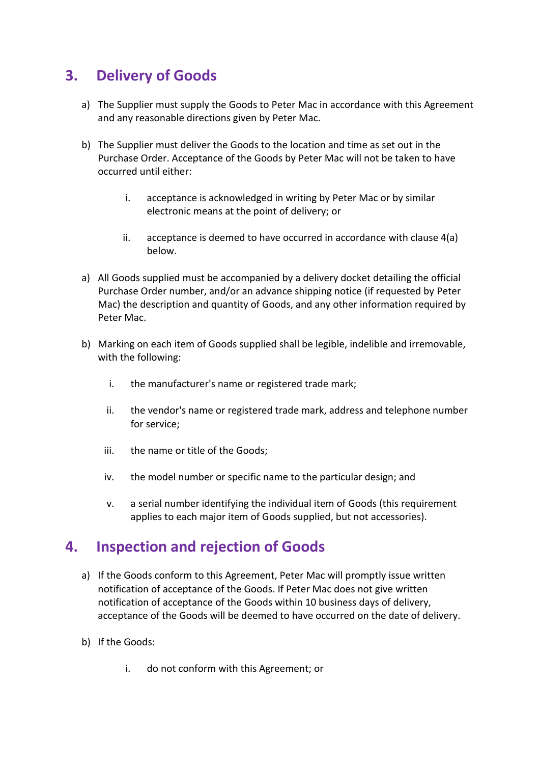### **3. Delivery of Goods**

- a) The Supplier must supply the Goods to Peter Mac in accordance with this Agreement and any reasonable directions given by Peter Mac.
- b) The Supplier must deliver the Goods to the location and time as set out in the Purchase Order. Acceptance of the Goods by Peter Mac will not be taken to have occurred until either:
	- i. acceptance is acknowledged in writing by Peter Mac or by similar electronic means at the point of delivery; or
	- ii. acceptance is deemed to have occurred in accordance with clause 4(a) below.
- a) All Goods supplied must be accompanied by a delivery docket detailing the official Purchase Order number, and/or an advance shipping notice (if requested by Peter Mac) the description and quantity of Goods, and any other information required by Peter Mac.
- b) Marking on each item of Goods supplied shall be legible, indelible and irremovable, with the following:
	- i. the manufacturer's name or registered trade mark;
	- ii. the vendor's name or registered trade mark, address and telephone number for service;
	- iii. the name or title of the Goods;
	- iv. the model number or specific name to the particular design; and
	- v. a serial number identifying the individual item of Goods (this requirement applies to each major item of Goods supplied, but not accessories).

### **4. Inspection and rejection of Goods**

- a) If the Goods conform to this Agreement, Peter Mac will promptly issue written notification of acceptance of the Goods. If Peter Mac does not give written notification of acceptance of the Goods within 10 business days of delivery, acceptance of the Goods will be deemed to have occurred on the date of delivery.
- b) If the Goods:
	- i. do not conform with this Agreement; or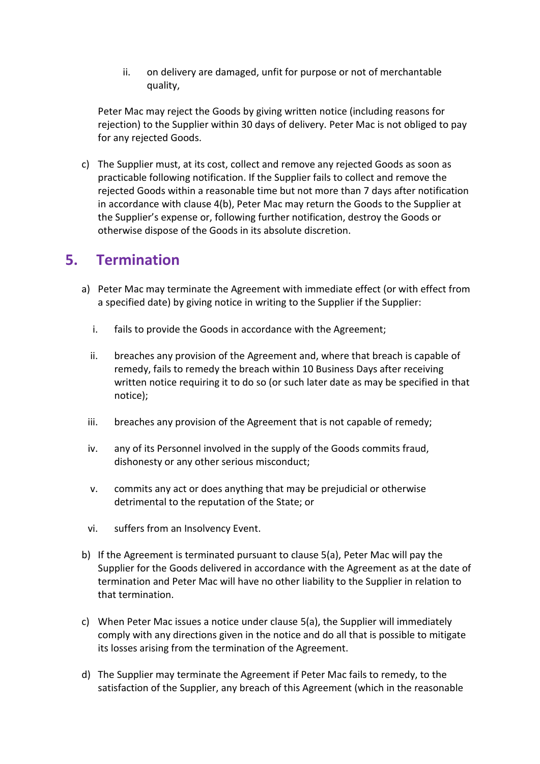ii. on delivery are damaged, unfit for purpose or not of merchantable quality,

Peter Mac may reject the Goods by giving written notice (including reasons for rejection) to the Supplier within 30 days of delivery. Peter Mac is not obliged to pay for any rejected Goods.

c) The Supplier must, at its cost, collect and remove any rejected Goods as soon as practicable following notification. If the Supplier fails to collect and remove the rejected Goods within a reasonable time but not more than 7 days after notification in accordance with clause 4(b), Peter Mac may return the Goods to the Supplier at the Supplier's expense or, following further notification, destroy the Goods or otherwise dispose of the Goods in its absolute discretion.

### **5. Termination**

- a) Peter Mac may terminate the Agreement with immediate effect (or with effect from a specified date) by giving notice in writing to the Supplier if the Supplier:
	- i. fails to provide the Goods in accordance with the Agreement;
	- ii. breaches any provision of the Agreement and, where that breach is capable of remedy, fails to remedy the breach within 10 Business Days after receiving written notice requiring it to do so (or such later date as may be specified in that notice);
	- iii. breaches any provision of the Agreement that is not capable of remedy;
	- iv. any of its Personnel involved in the supply of the Goods commits fraud, dishonesty or any other serious misconduct;
	- v. commits any act or does anything that may be prejudicial or otherwise detrimental to the reputation of the State; or
	- vi. suffers from an Insolvency Event.
- b) If the Agreement is terminated pursuant to clause 5(a), Peter Mac will pay the Supplier for the Goods delivered in accordance with the Agreement as at the date of termination and Peter Mac will have no other liability to the Supplier in relation to that termination.
- c) When Peter Mac issues a notice under clause 5(a), the Supplier will immediately comply with any directions given in the notice and do all that is possible to mitigate its losses arising from the termination of the Agreement.
- d) The Supplier may terminate the Agreement if Peter Mac fails to remedy, to the satisfaction of the Supplier, any breach of this Agreement (which in the reasonable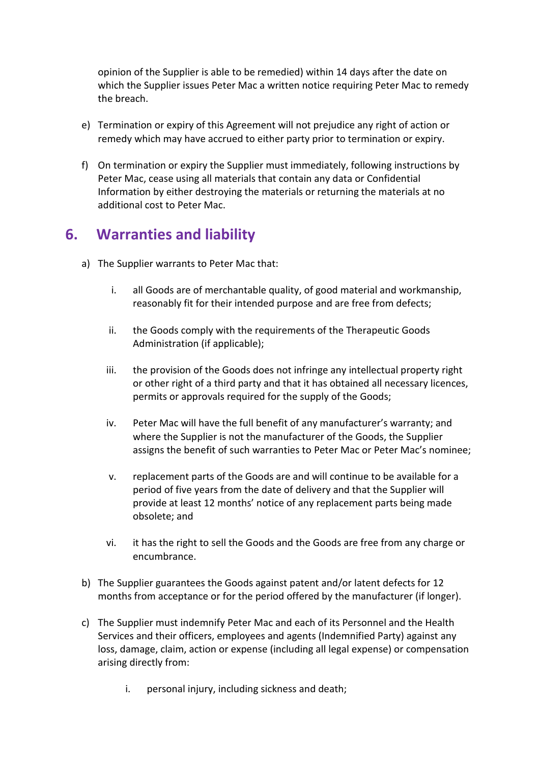opinion of the Supplier is able to be remedied) within 14 days after the date on which the Supplier issues Peter Mac a written notice requiring Peter Mac to remedy the breach.

- e) Termination or expiry of this Agreement will not prejudice any right of action or remedy which may have accrued to either party prior to termination or expiry.
- f) On termination or expiry the Supplier must immediately, following instructions by Peter Mac, cease using all materials that contain any data or Confidential Information by either destroying the materials or returning the materials at no additional cost to Peter Mac.

### **6. Warranties and liability**

- a) The Supplier warrants to Peter Mac that:
	- i. all Goods are of merchantable quality, of good material and workmanship, reasonably fit for their intended purpose and are free from defects;
	- ii. the Goods comply with the requirements of the Therapeutic Goods Administration (if applicable);
	- iii. the provision of the Goods does not infringe any intellectual property right or other right of a third party and that it has obtained all necessary licences, permits or approvals required for the supply of the Goods;
	- iv. Peter Mac will have the full benefit of any manufacturer's warranty; and where the Supplier is not the manufacturer of the Goods, the Supplier assigns the benefit of such warranties to Peter Mac or Peter Mac's nominee;
	- v. replacement parts of the Goods are and will continue to be available for a period of five years from the date of delivery and that the Supplier will provide at least 12 months' notice of any replacement parts being made obsolete; and
	- vi. it has the right to sell the Goods and the Goods are free from any charge or encumbrance.
- b) The Supplier guarantees the Goods against patent and/or latent defects for 12 months from acceptance or for the period offered by the manufacturer (if longer).
- c) The Supplier must indemnify Peter Mac and each of its Personnel and the Health Services and their officers, employees and agents (Indemnified Party) against any loss, damage, claim, action or expense (including all legal expense) or compensation arising directly from:
	- i. personal injury, including sickness and death;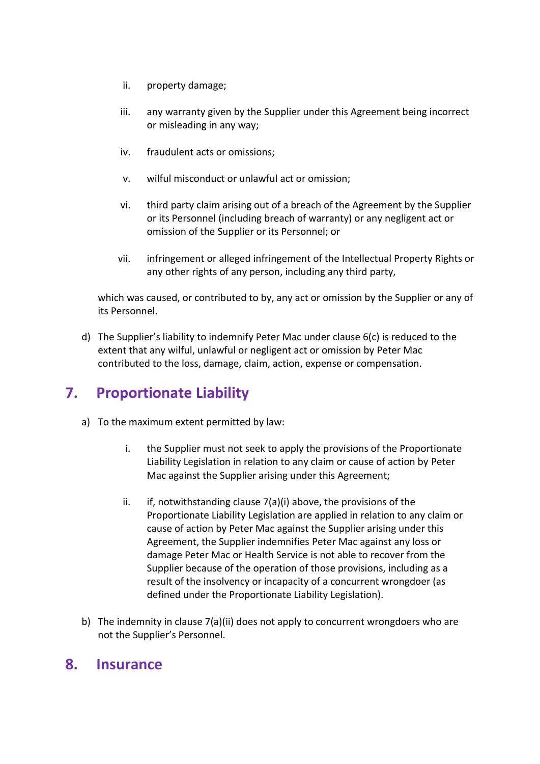- ii. property damage;
- iii. any warranty given by the Supplier under this Agreement being incorrect or misleading in any way;
- iv. fraudulent acts or omissions;
- v. wilful misconduct or unlawful act or omission;
- vi. third party claim arising out of a breach of the Agreement by the Supplier or its Personnel (including breach of warranty) or any negligent act or omission of the Supplier or its Personnel; or
- vii. infringement or alleged infringement of the Intellectual Property Rights or any other rights of any person, including any third party,

which was caused, or contributed to by, any act or omission by the Supplier or any of its Personnel.

d) The Supplier's liability to indemnify Peter Mac under clause 6(c) is reduced to the extent that any wilful, unlawful or negligent act or omission by Peter Mac contributed to the loss, damage, claim, action, expense or compensation.

### **7. Proportionate Liability**

- a) To the maximum extent permitted by law:
	- i. the Supplier must not seek to apply the provisions of the Proportionate Liability Legislation in relation to any claim or cause of action by Peter Mac against the Supplier arising under this Agreement;
	- $ii.$  if, notwithstanding clause  $7(a)(i)$  above, the provisions of the Proportionate Liability Legislation are applied in relation to any claim or cause of action by Peter Mac against the Supplier arising under this Agreement, the Supplier indemnifies Peter Mac against any loss or damage Peter Mac or Health Service is not able to recover from the Supplier because of the operation of those provisions, including as a result of the insolvency or incapacity of a concurrent wrongdoer (as defined under the Proportionate Liability Legislation).
- b) The indemnity in clause 7(a)(ii) does not apply to concurrent wrongdoers who are not the Supplier's Personnel.

#### **8. Insurance**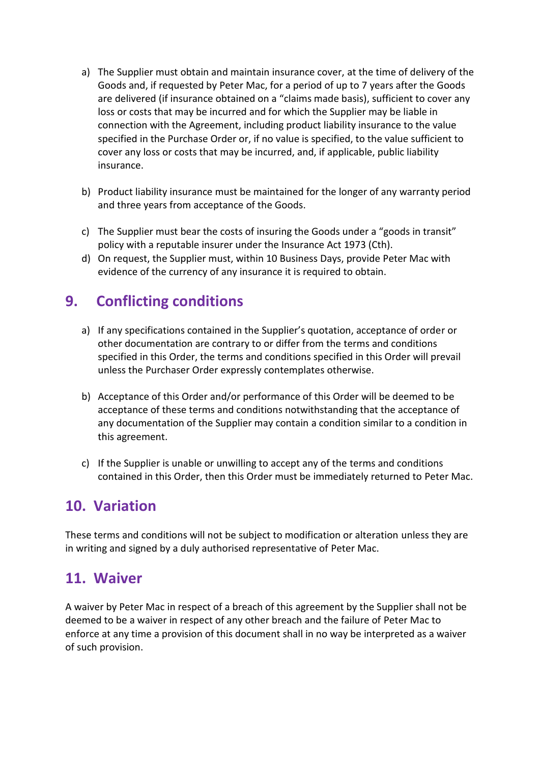- a) The Supplier must obtain and maintain insurance cover, at the time of delivery of the Goods and, if requested by Peter Mac, for a period of up to 7 years after the Goods are delivered (if insurance obtained on a "claims made basis), sufficient to cover any loss or costs that may be incurred and for which the Supplier may be liable in connection with the Agreement, including product liability insurance to the value specified in the Purchase Order or, if no value is specified, to the value sufficient to cover any loss or costs that may be incurred, and, if applicable, public liability insurance.
- b) Product liability insurance must be maintained for the longer of any warranty period and three years from acceptance of the Goods.
- c) The Supplier must bear the costs of insuring the Goods under a "goods in transit" policy with a reputable insurer under the Insurance Act 1973 (Cth).
- d) On request, the Supplier must, within 10 Business Days, provide Peter Mac with evidence of the currency of any insurance it is required to obtain.

## **9. Conflicting conditions**

- a) If any specifications contained in the Supplier's quotation, acceptance of order or other documentation are contrary to or differ from the terms and conditions specified in this Order, the terms and conditions specified in this Order will prevail unless the Purchaser Order expressly contemplates otherwise.
- b) Acceptance of this Order and/or performance of this Order will be deemed to be acceptance of these terms and conditions notwithstanding that the acceptance of any documentation of the Supplier may contain a condition similar to a condition in this agreement.
- c) If the Supplier is unable or unwilling to accept any of the terms and conditions contained in this Order, then this Order must be immediately returned to Peter Mac.

### **10. Variation**

These terms and conditions will not be subject to modification or alteration unless they are in writing and signed by a duly authorised representative of Peter Mac.

### **11. Waiver**

A waiver by Peter Mac in respect of a breach of this agreement by the Supplier shall not be deemed to be a waiver in respect of any other breach and the failure of Peter Mac to enforce at any time a provision of this document shall in no way be interpreted as a waiver of such provision.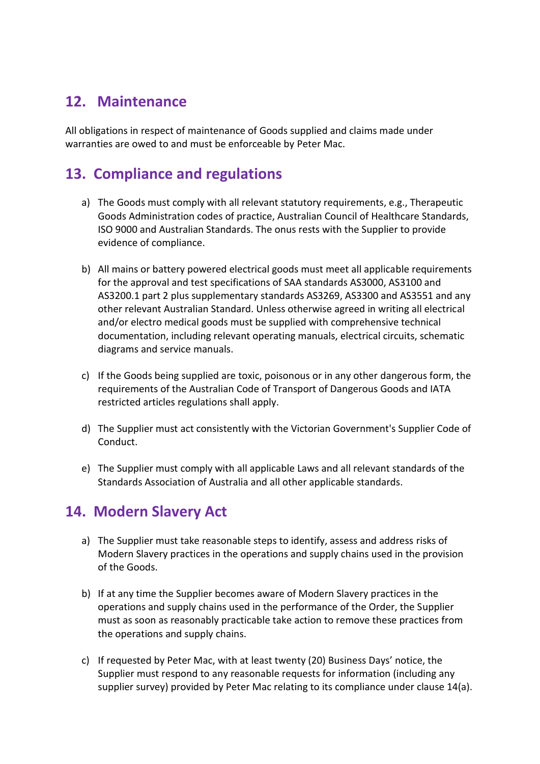### **12. Maintenance**

All obligations in respect of maintenance of Goods supplied and claims made under warranties are owed to and must be enforceable by Peter Mac.

### **13. Compliance and regulations**

- a) The Goods must comply with all relevant statutory requirements, e.g., Therapeutic Goods Administration codes of practice, Australian Council of Healthcare Standards, ISO 9000 and Australian Standards. The onus rests with the Supplier to provide evidence of compliance.
- b) All mains or battery powered electrical goods must meet all applicable requirements for the approval and test specifications of SAA standards AS3000, AS3100 and AS3200.1 part 2 plus supplementary standards AS3269, AS3300 and AS3551 and any other relevant Australian Standard. Unless otherwise agreed in writing all electrical and/or electro medical goods must be supplied with comprehensive technical documentation, including relevant operating manuals, electrical circuits, schematic diagrams and service manuals.
- c) If the Goods being supplied are toxic, poisonous or in any other dangerous form, the requirements of the Australian Code of Transport of Dangerous Goods and IATA restricted articles regulations shall apply.
- d) The Supplier must act consistently with the Victorian Government's Supplier Code of Conduct.
- e) The Supplier must comply with all applicable Laws and all relevant standards of the Standards Association of Australia and all other applicable standards.

### **14. Modern Slavery Act**

- a) The Supplier must take reasonable steps to identify, assess and address risks of Modern Slavery practices in the operations and supply chains used in the provision of the Goods.
- b) If at any time the Supplier becomes aware of Modern Slavery practices in the operations and supply chains used in the performance of the Order, the Supplier must as soon as reasonably practicable take action to remove these practices from the operations and supply chains.
- c) If requested by Peter Mac, with at least twenty (20) Business Days' notice, the Supplier must respond to any reasonable requests for information (including any supplier survey) provided by Peter Mac relating to its compliance under clause 14(a).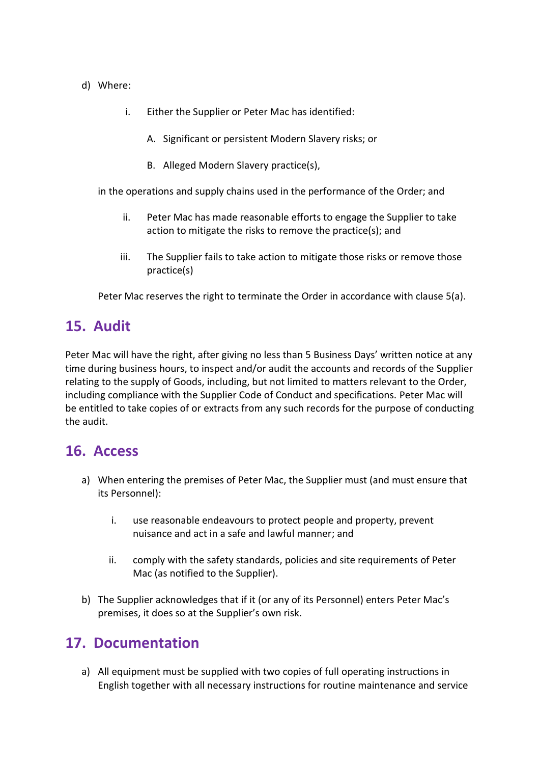- d) Where:
	- i. Either the Supplier or Peter Mac has identified:
		- A. Significant or persistent Modern Slavery risks; or
		- B. Alleged Modern Slavery practice(s),

in the operations and supply chains used in the performance of the Order; and

- ii. Peter Mac has made reasonable efforts to engage the Supplier to take action to mitigate the risks to remove the practice(s); and
- iii. The Supplier fails to take action to mitigate those risks or remove those practice(s)

Peter Mac reserves the right to terminate the Order in accordance with clause 5(a).

#### **15. Audit**

Peter Mac will have the right, after giving no less than 5 Business Days' written notice at any time during business hours, to inspect and/or audit the accounts and records of the Supplier relating to the supply of Goods, including, but not limited to matters relevant to the Order, including compliance with the Supplier Code of Conduct and specifications. Peter Mac will be entitled to take copies of or extracts from any such records for the purpose of conducting the audit.

#### **16. Access**

- a) When entering the premises of Peter Mac, the Supplier must (and must ensure that its Personnel):
	- i. use reasonable endeavours to protect people and property, prevent nuisance and act in a safe and lawful manner; and
	- ii. comply with the safety standards, policies and site requirements of Peter Mac (as notified to the Supplier).
- b) The Supplier acknowledges that if it (or any of its Personnel) enters Peter Mac's premises, it does so at the Supplier's own risk.

#### **17. Documentation**

a) All equipment must be supplied with two copies of full operating instructions in English together with all necessary instructions for routine maintenance and service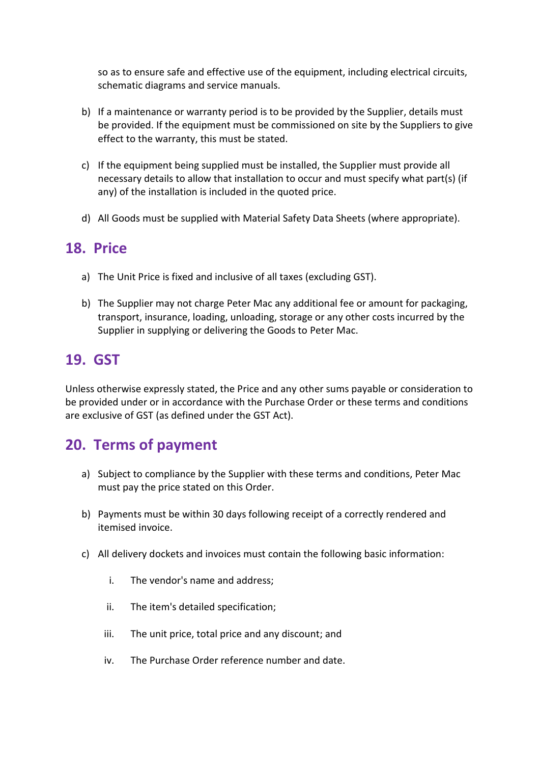so as to ensure safe and effective use of the equipment, including electrical circuits, schematic diagrams and service manuals.

- b) If a maintenance or warranty period is to be provided by the Supplier, details must be provided. If the equipment must be commissioned on site by the Suppliers to give effect to the warranty, this must be stated.
- c) If the equipment being supplied must be installed, the Supplier must provide all necessary details to allow that installation to occur and must specify what part(s) (if any) of the installation is included in the quoted price.
- d) All Goods must be supplied with Material Safety Data Sheets (where appropriate).

#### **18. Price**

- a) The Unit Price is fixed and inclusive of all taxes (excluding GST).
- b) The Supplier may not charge Peter Mac any additional fee or amount for packaging, transport, insurance, loading, unloading, storage or any other costs incurred by the Supplier in supplying or delivering the Goods to Peter Mac.

### **19. GST**

Unless otherwise expressly stated, the Price and any other sums payable or consideration to be provided under or in accordance with the Purchase Order or these terms and conditions are exclusive of GST (as defined under the GST Act).

### **20. Terms of payment**

- a) Subject to compliance by the Supplier with these terms and conditions, Peter Mac must pay the price stated on this Order.
- b) Payments must be within 30 days following receipt of a correctly rendered and itemised invoice.
- c) All delivery dockets and invoices must contain the following basic information:
	- i. The vendor's name and address;
	- ii. The item's detailed specification;
	- iii. The unit price, total price and any discount; and
	- iv. The Purchase Order reference number and date.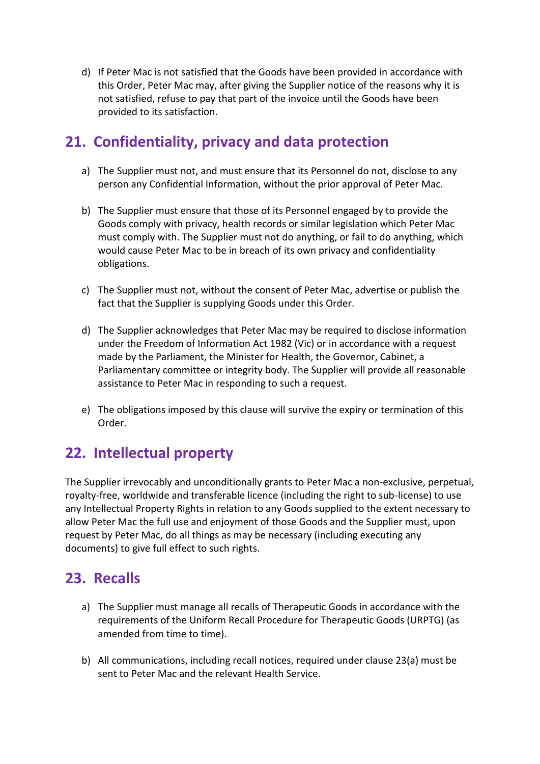d) If Peter Mac is not satisfied that the Goods have been provided in accordance with this Order, Peter Mac may, after giving the Supplier notice of the reasons why it is not satisfied, refuse to pay that part of the invoice until the Goods have been provided to its satisfaction.

### **21. Confidentiality, privacy and data protection**

- a) The Supplier must not, and must ensure that its Personnel do not, disclose to any person any Confidential Information, without the prior approval of Peter Mac.
- b) The Supplier must ensure that those of its Personnel engaged by to provide the Goods comply with privacy, health records or similar legislation which Peter Mac must comply with. The Supplier must not do anything, or fail to do anything, which would cause Peter Mac to be in breach of its own privacy and confidentiality obligations.
- c) The Supplier must not, without the consent of Peter Mac, advertise or publish the fact that the Supplier is supplying Goods under this Order.
- d) The Supplier acknowledges that Peter Mac may be required to disclose information under the Freedom of Information Act 1982 (Vic) or in accordance with a request made by the Parliament, the Minister for Health, the Governor, Cabinet, a Parliamentary committee or integrity body. The Supplier will provide all reasonable assistance to Peter Mac in responding to such a request.
- e) The obligations imposed by this clause will survive the expiry or termination of this Order.

### **22. Intellectual property**

The Supplier irrevocably and unconditionally grants to Peter Mac a non-exclusive, perpetual, royalty-free, worldwide and transferable licence (including the right to sub-license) to use any Intellectual Property Rights in relation to any Goods supplied to the extent necessary to allow Peter Mac the full use and enjoyment of those Goods and the Supplier must, upon request by Peter Mac, do all things as may be necessary (including executing any documents) to give full effect to such rights.

### **23. Recalls**

- a) The Supplier must manage all recalls of Therapeutic Goods in accordance with the requirements of the Uniform Recall Procedure for Therapeutic Goods (URPTG) (as amended from time to time).
- b) All communications, including recall notices, required under clause 23(a) must be sent to Peter Mac and the relevant Health Service.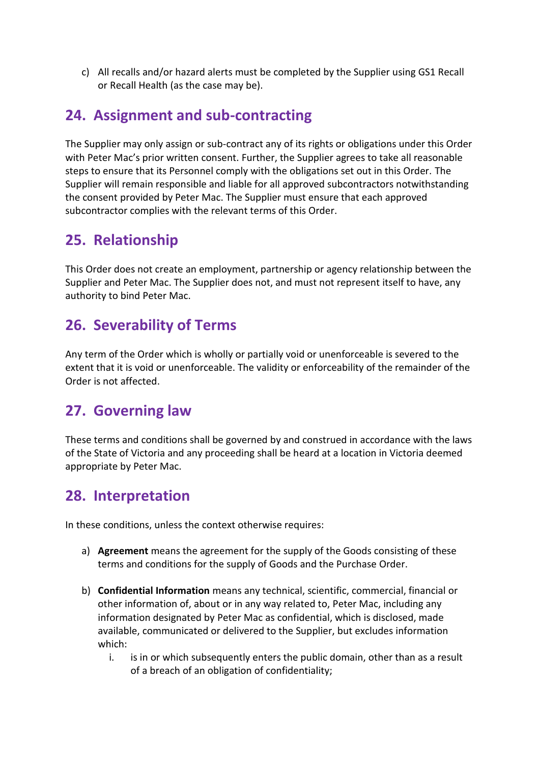c) All recalls and/or hazard alerts must be completed by the Supplier using GS1 Recall or Recall Health (as the case may be).

### **24. Assignment and sub-contracting**

The Supplier may only assign or sub-contract any of its rights or obligations under this Order with Peter Mac's prior written consent. Further, the Supplier agrees to take all reasonable steps to ensure that its Personnel comply with the obligations set out in this Order. The Supplier will remain responsible and liable for all approved subcontractors notwithstanding the consent provided by Peter Mac. The Supplier must ensure that each approved subcontractor complies with the relevant terms of this Order.

### **25. Relationship**

This Order does not create an employment, partnership or agency relationship between the Supplier and Peter Mac. The Supplier does not, and must not represent itself to have, any authority to bind Peter Mac.

### **26. Severability of Terms**

Any term of the Order which is wholly or partially void or unenforceable is severed to the extent that it is void or unenforceable. The validity or enforceability of the remainder of the Order is not affected.

### **27. Governing law**

These terms and conditions shall be governed by and construed in accordance with the laws of the State of Victoria and any proceeding shall be heard at a location in Victoria deemed appropriate by Peter Mac.

### **28. Interpretation**

In these conditions, unless the context otherwise requires:

- a) **Agreement** means the agreement for the supply of the Goods consisting of these terms and conditions for the supply of Goods and the Purchase Order.
- b) **Confidential Information** means any technical, scientific, commercial, financial or other information of, about or in any way related to, Peter Mac, including any information designated by Peter Mac as confidential, which is disclosed, made available, communicated or delivered to the Supplier, but excludes information which:
	- i. is in or which subsequently enters the public domain, other than as a result of a breach of an obligation of confidentiality;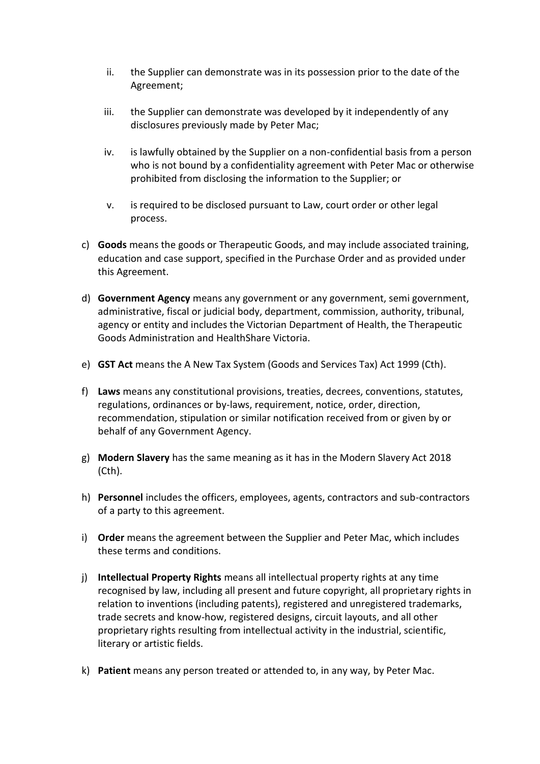- ii. the Supplier can demonstrate was in its possession prior to the date of the Agreement;
- iii. the Supplier can demonstrate was developed by it independently of any disclosures previously made by Peter Mac;
- iv. is lawfully obtained by the Supplier on a non-confidential basis from a person who is not bound by a confidentiality agreement with Peter Mac or otherwise prohibited from disclosing the information to the Supplier; or
- v. is required to be disclosed pursuant to Law, court order or other legal process.
- c) **Goods** means the goods or Therapeutic Goods, and may include associated training, education and case support, specified in the Purchase Order and as provided under this Agreement.
- d) **Government Agency** means any government or any government, semi government, administrative, fiscal or judicial body, department, commission, authority, tribunal, agency or entity and includes the Victorian Department of Health, the Therapeutic Goods Administration and HealthShare Victoria.
- e) **GST Act** means the A New Tax System (Goods and Services Tax) Act 1999 (Cth).
- f) **Laws** means any constitutional provisions, treaties, decrees, conventions, statutes, regulations, ordinances or by-laws, requirement, notice, order, direction, recommendation, stipulation or similar notification received from or given by or behalf of any Government Agency.
- g) **Modern Slavery** has the same meaning as it has in the Modern Slavery Act 2018 (Cth).
- h) **Personnel** includes the officers, employees, agents, contractors and sub-contractors of a party to this agreement.
- i) **Order** means the agreement between the Supplier and Peter Mac, which includes these terms and conditions.
- j) **Intellectual Property Rights** means all intellectual property rights at any time recognised by law, including all present and future copyright, all proprietary rights in relation to inventions (including patents), registered and unregistered trademarks, trade secrets and know-how, registered designs, circuit layouts, and all other proprietary rights resulting from intellectual activity in the industrial, scientific, literary or artistic fields.
- k) **Patient** means any person treated or attended to, in any way, by Peter Mac.